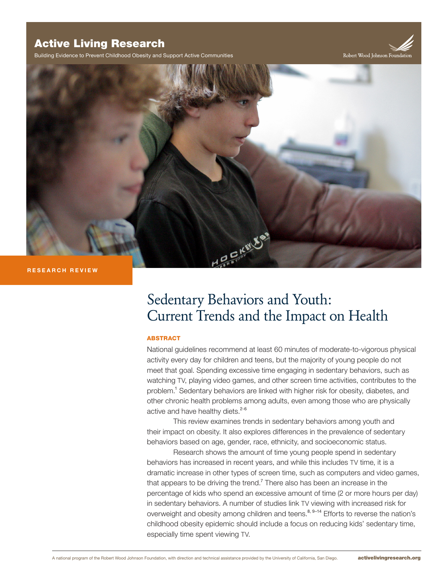## Active Living Research

Building Evidence to Prevent Childhood Obesity and Support Active Communities

Robert Wood Johnson Foundati



#### **RESEARCH REVIEW**

# Sedentary Behaviors and Youth: Current Trends and the Impact on Health

#### ABSTRACT

National guidelines recommend at least 60 minutes of moderate-to-vigorous physical activity every day for children and teens, but the majority of young people do not meet that goal. Spending excessive time engaging in sedentary behaviors, such as watching TV, playing video games, and other screen time activities, contributes to the problem.<sup>1</sup> Sedentary behaviors are linked with higher risk for obesity, diabetes, and other chronic health problems among adults, even among those who are physically active and have healthy diets.<sup>2-6</sup>

This review examines trends in sedentary behaviors among youth and their impact on obesity. It also explores differences in the prevalence of sedentary behaviors based on age, gender, race, ethnicity, and socioeconomic status.

Research shows the amount of time young people spend in sedentary behaviors has increased in recent years, and while this includes TV time, it is a dramatic increase in other types of screen time, such as computers and video games, that appears to be driving the trend.<sup>7</sup> There also has been an increase in the percentage of kids who spend an excessive amount of time (2 or more hours per day) in sedentary behaviors. A number of studies link TV viewing with increased risk for overweight and obesity among children and teens.<sup>8, 9–14</sup> Efforts to reverse the nation's childhood obesity epidemic should include a focus on reducing kids' sedentary time, especially time spent viewing TV.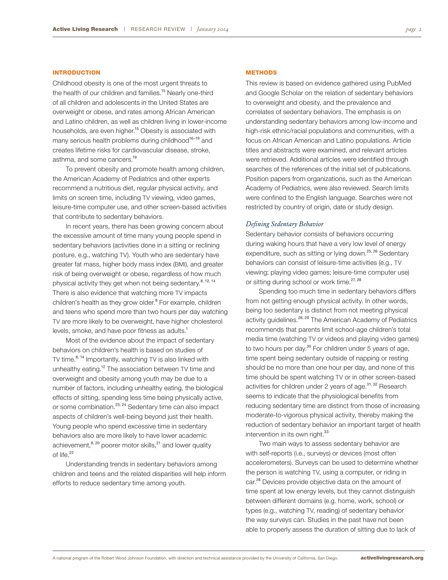#### **INTRODUCTION**

Childhood obesity is one of the most urgent threats to the health of our children and families.<sup>15</sup> Nearly one-third of all children and adolescents in the United States are overweight or obese, and rates among African American and Latino children, as well as children living in lower-income households, are even higher.<sup>15</sup> Obesity is associated with many serious health problems during childhood<sup>16-19</sup> and creates lifetime risks for cardiovascular disease, stroke, asthma, and some cancers.<sup>19</sup>

To prevent obesity and promote health among children, the American Academy of Pediatrics and other experts recommend a nutritious diet, regular physical activity, and limits on screen time, including TV viewing, video games, leisure-time computer use, and other screen-based activities that contribute to sedentary behaviors.

In recent years, there has been growing concern about the excessive amount of time many young people spend in sedentary behaviors (activities done in a sitting or reclining posture, e.g., watching TV). Youth who are sedentary have greater fat mass, higher body mass index (BMI), and greater risk of being overweight or obese, regardless of how much physical activity they get when not being sedentary.<sup>8, 12, 14</sup> There is also evidence that watching more TV impacts children's health as they grow older.<sup>8</sup> For example, children and teens who spend more than two hours per day watching TV are more likely to be overweight, have higher cholesterol levels, smoke, and have poor fitness as adults.<sup>1</sup>

Most of the evidence about the impact of sedentary behaviors on children's health is based on studies of TV time.<sup>8, 14</sup> Importantly, watching TV is also linked with unhealthy eating.<sup>12</sup> The association between TV time and overweight and obesity among youth may be due to a number of factors, including unhealthy eating, the biological effects of sitting, spending less time being physically active, or some combination.<sup>23, 24</sup> Sedentary time can also impact aspects of children's well-being beyond just their health. Young people who spend excessive time in sedentary behaviors also are more likely to have lower academic achievement, $8, 20$  poorer motor skills, $21$  and lower quality of life.<sup>22</sup>

Understanding trends in sedentary behaviors among children and teens and the related disparities will help inform efforts to reduce sedentary time among youth.

#### **METHODS**

This review is based on evidence gathered using PubMed and Google Scholar on the relation of sedentary behaviors to overweight and obesity, and the prevalence and correlates of sedentary behaviors. The emphasis is on understanding sedentary behaviors among low-income and high-risk ethnic/racial populations and communities, with a focus on African American and Latino populations. Article titles and abstracts were examined, and relevant articles were retrieved. Additional articles were identified through searches of the references of the initial set of publications. Position papers from organizations, such as the American Academy of Pediatrics, were also reviewed. Search limits were confined to the English language. Searches were not restricted by country of origin, date or study design.

#### *Defining Sedentary Behavior*

Sedentary behavior consists of behaviors occurring during waking hours that have a very low level of energy expenditure, such as sitting or lying down.<sup>25, 26</sup> Sedentary behaviors can consist of leisure-time activities (e.g., TV viewing; playing video games; leisure-time computer use) or sitting during school or work time.<sup>27, 28</sup>

Spending too much time in sedentary behaviors differs from not getting enough physical activity. In other words, being too sedentary is distinct from not meeting physical activity guidelines.<sup>28, 29</sup> The American Academy of Pediatrics recommends that parents limit school-age children's total media time (watching TV or videos and playing video games) to two hours per day.<sup>30</sup> For children under 5 years of age, time spent being sedentary outside of napping or resting should be no more than one hour per day, and none of this time should be spent watching TV or in other screen-based activities for children under 2 years of age.<sup>31, 32</sup> Research seems to indicate that the physiological benefits from reducing sedentary time are distinct from those of increasing moderate-to-vigorous physical activity, thereby making the reduction of sedentary behavior an important target of health intervention in its own right.<sup>33</sup>

Two main ways to assess sedentary behavior are with self-reports (i.e., surveys) or devices (most often accelerometers). Surveys can be used to determine whether the person is watching TV, using a computer, or riding in car.<sup>28</sup> Devices provide objective data on the amount of time spent at low energy levels, but they cannot distinguish between different domains (e.g. home, work, school) or types (e.g., watching TV, reading) of sedentary behavior the way surveys can. Studies in the past have not been able to properly assess the duration of sitting due to lack of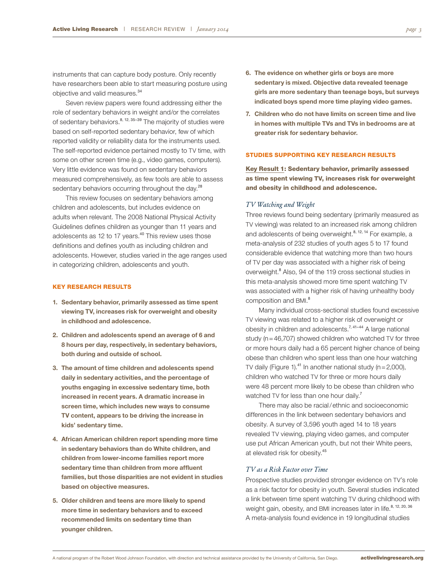instruments that can capture body posture. Only recently have researchers been able to start measuring posture using objective and valid measures.<sup>34</sup>

Seven review papers were found addressing either the role of sedentary behaviors in weight and/or the correlates of sedentary behaviors.<sup>8, 12, 35–39</sup> The majority of studies were based on self-reported sedentary behavior, few of which reported validity or reliability data for the instruments used. The self-reported evidence pertained mostly to TV time, with some on other screen time (e.g., video games, computers). Very little evidence was found on sedentary behaviors measured comprehensively, as few tools are able to assess sedentary behaviors occurring throughout the day.<sup>28</sup>

This review focuses on sedentary behaviors among children and adolescents, but includes evidence on adults when relevant. The 2008 National Physical Activity Guidelines defines children as younger than 11 years and adolescents as 12 to 17 years.<sup>40</sup> This review uses those definitions and defines youth as including children and adolescents. However, studies varied in the age ranges used in categorizing children, adolescents and youth.

#### KEY RESEARCH RESULTS

- **1. Sedentary behavior, primarily assessed as time spent viewing TV, increases risk for overweight and obesity in childhood and adolescence.**
- **2. Children and adolescents spend an average of 6 and 8 hours per day, respectively, in sedentary behaviors, both during and outside of school.**
- **3. The amount of time children and adolescents spend daily in sedentary activities, and the percentage of youths engaging in excessive sedentary time, both increased in recent years. A dramatic increase in screen time, which includes new ways to consume TV content, appears to be driving the increase in kids' sedentary time.**
- **4. African American children report spending more time in sedentary behaviors than do White children, and children from lower-income families report more sedentary time than children from more affluent families, but those disparities are not evident in studies based on objective measures.**
- **5. Older children and teens are more likely to spend more time in sedentary behaviors and to exceed recommended limits on sedentary time than younger children.**
- **6. The evidence on whether girls or boys are more sedentary is mixed. Objective data revealed teenage girls are more sedentary than teenage boys, but surveys indicated boys spend more time playing video games.**
- **7. Children who do not have limits on screen time and live in homes with multiple TVs and TVs in bedrooms are at greater risk for sedentary behavior.**

#### STUDIES SUPPORTING KEY RESEARCH RESULTS

Key Result 1: Sedentary behavior, primarily assessed as time spent viewing TV, increases risk for overweight and obesity in childhood and adolescence.

#### *TV Watching and Weight*

Three reviews found being sedentary (primarily measured as TV viewing) was related to an increased risk among children and adolescents of being overweight.<sup>8, 12, 14</sup> For example, a meta-analysis of 232 studies of youth ages 5 to 17 found considerable evidence that watching more than two hours of TV per day was associated with a higher risk of being overweight.<sup>8</sup> Also, 94 of the 119 cross sectional studies in this meta-analysis showed more time spent watching TV was associated with a higher risk of having unhealthy body composition and BMI. 8

Many individual cross-sectional studies found excessive TV viewing was related to a higher risk of overweight or obesity in children and adolescents.<sup>7, 41-44</sup> A large national study (n=46,707) showed children who watched TV for three or more hours daily had a 65 percent higher chance of being obese than children who spent less than one hour watching TV daily (Figure 1).<sup>41</sup> In another national study ( $n=2,000$ ), children who watched TV for three or more hours daily were 48 percent more likely to be obese than children who watched TV for less than one hour daily.<sup>7</sup>

There may also be racial/ethnic and socioeconomic differences in the link between sedentary behaviors and obesity. A survey of 3,596 youth aged 14 to 18 years revealed TV viewing, playing video games, and computer use put African American youth, but not their White peers, at elevated risk for obesity.<sup>45</sup>

#### *TV as a Risk Factor over Time*

Prospective studies provided stronger evidence on TV's role as a risk factor for obesity in youth. Several studies indicated a link between time spent watching TV during childhood with weight gain, obesity, and BMI increases later in life.<sup>8, 12, 20, 36</sup> A meta-analysis found evidence in 19 longitudinal studies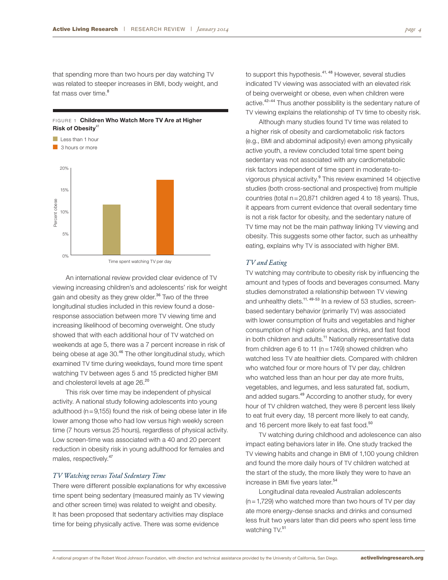that spending more than two hours per day watching TV was related to steeper increases in BMI, body weight, and fat mass over time.<sup>8</sup>

**Risk of Obesity**<sup>41</sup>





An international review provided clear evidence of TV viewing increasing children's and adolescents' risk for weight gain and obesity as they grew older.<sup>36</sup> Two of the three longitudinal studies included in this review found a doseresponse association between more TV viewing time and increasing likelihood of becoming overweight. One study showed that with each additional hour of TV watched on weekends at age 5, there was a 7 percent increase in risk of being obese at age 30.<sup>46</sup> The other longitudinal study, which examined TV time during weekdays, found more time spent watching TV between ages 5 and 15 predicted higher BMI and cholesterol levels at age 26.<sup>20</sup>

This risk over time may be independent of physical activity. A national study following adolescents into young adulthood ( $n=9,155$ ) found the risk of being obese later in life lower among those who had low versus high weekly screen time (7 hours versus 25 hours), regardless of physical activity. Low screen-time was associated with a 40 and 20 percent reduction in obesity risk in young adulthood for females and males, respectively.<sup>47</sup>

#### *TV Watching versus Total Sedentary Time*

There were different possible explanations for why excessive time spent being sedentary (measured mainly as TV viewing and other screen time) was related to weight and obesity. It has been proposed that sedentary activities may displace time for being physically active. There was some evidence

to support this hypothesis.<sup>41, 48</sup> However, several studies indicated TV viewing was associated with an elevated risk of being overweight or obese, even when children were active.<sup>42-44</sup> Thus another possibility is the sedentary nature of TV viewing explains the relationship of TV time to obesity risk.

Although many studies found TV time was related to a higher risk of obesity and cardiometabolic risk factors (e.g., BMI and abdominal adiposity) even among physically active youth, a review concluded total time spent being sedentary was not associated with any cardiometabolic risk factors independent of time spent in moderate-tovigorous physical activity.<sup>9</sup> This review examined 14 objective studies (both cross-sectional and prospective) from multiple countries (total n=20,871 children aged 4 to 18 years). Thus, it appears from current evidence that overall sedentary time is not a risk factor for obesity, and the sedentary nature of TV time may not be the main pathway linking TV viewing and obesity. This suggests some other factor, such as unhealthy eating, explains why TV is associated with higher BMI.

#### *TV and Eating*

TV watching may contribute to obesity risk by influencing the amount and types of foods and beverages consumed. Many studies demonstrated a relationship between TV viewing and unhealthy diets.<sup>11, 49-53</sup> In a review of 53 studies, screenbased sedentary behavior (primarily TV) was associated with lower consumption of fruits and vegetables and higher consumption of high calorie snacks, drinks, and fast food in both children and adults.<sup>11</sup> Nationally representative data from children age 6 to 11 ( $n = 1749$ ) showed children who watched less TV ate healthier diets. Compared with children who watched four or more hours of TV per day, children who watched less than an hour per day ate more fruits, vegetables, and legumes, and less saturated fat, sodium, and added sugars.<sup>49</sup> According to another study, for every hour of TV children watched, they were 8 percent less likely to eat fruit every day, 18 percent more likely to eat candy, and 16 percent more likely to eat fast food.<sup>50</sup>

TV watching during childhood and adolescence can also impact eating behaviors later in life. One study tracked the TV viewing habits and change in BMI of 1,100 young children and found the more daily hours of TV children watched at the start of the study, the more likely they were to have an increase in BMI five years later.<sup>54</sup>

Longitudinal data revealed Australian adolescents  $(n=1,729)$  who watched more than two hours of TV per day ate more energy-dense snacks and drinks and consumed less fruit two years later than did peers who spent less time watching TV.<sup>51</sup>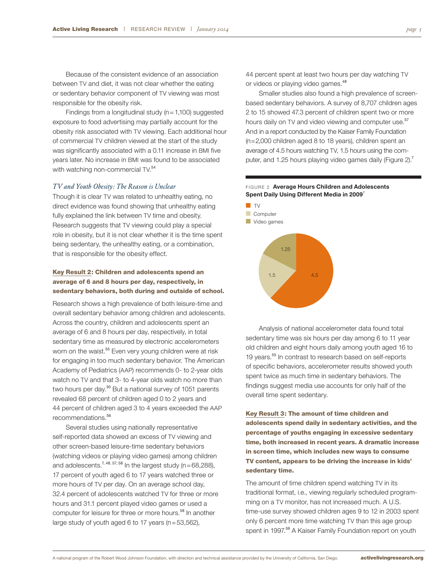Because of the consistent evidence of an association between TV and diet, it was not clear whether the eating or sedentary behavior component of TV viewing was most responsible for the obesity risk.

Findings from a longitudinal study ( $n=1,100$ ) suggested exposure to food advertising may partially account for the obesity risk associated with TV viewing. Each additional hour of commercial TV children viewed at the start of the study was significantly associated with a 0.11 increase in BMI five years later. No increase in BMI was found to be associated with watching non-commercial TV.<sup>54</sup>

#### *TV and Youth Obesity: The Reason is Unclear*

Though it is clear TV was related to unhealthy eating, no direct evidence was found showing that unhealthy eating fully explained the link between TV time and obesity. Research suggests that TV viewing could play a special role in obesity, but it is not clear whether it is the time spent being sedentary, the unhealthy eating, or a combination, that is responsible for the obesity effect.

#### Key Result 2: Children and adolescents spend an average of 6 and 8 hours per day, respectively, in sedentary behaviors, both during and outside of school.

Research shows a high prevalence of both leisure-time and overall sedentary behavior among children and adolescents. Across the country, children and adolescents spent an average of 6 and 8 hours per day, respectively, in total sedentary time as measured by electronic accelerometers worn on the waist.<sup>55</sup> Even very young children were at risk for engaging in too much sedentary behavior. The American Academy of Pediatrics (AAP) recommends 0- to 2-year olds watch no TV and that 3- to 4-year olds watch no more than two hours per day.<sup>30</sup> But a national survey of 1051 parents revealed 68 percent of children aged 0 to 2 years and 44 percent of children aged 3 to 4 years exceeded the AAP recommendations.<sup>56</sup>

Several studies using nationally representative self-reported data showed an excess of TV viewing and other screen-based leisure-time sedentary behaviors (watching videos or playing video games) among children and adolescents.<sup>7, 48, 57, 58</sup> In the largest study ( $n=68,288$ ), 17 percent of youth aged 6 to 17 years watched three or more hours of TV per day. On an average school day, 32.4 percent of adolescents watched TV for three or more hours and 31.1 percent played video games or used a computer for leisure for three or more hours.<sup>58</sup> In another large study of youth aged 6 to 17 years (n=53,562),

44 percent spent at least two hours per day watching TV or videos or playing video games.<sup>48</sup>

Smaller studies also found a high prevalence of screenbased sedentary behaviors. A survey of 8,707 children ages 2 to 15 showed 47.3 percent of children spent two or more hours daily on TV and video viewing and computer use.<sup>57</sup> And in a report conducted by the Kaiser Family Foundation (n=2,000 children aged 8 to 18 years), children spent an average of 4.5 hours watching TV, 1.5 hours using the computer, and 1.25 hours playing video games daily (Figure 2).<sup>7</sup>

#### FIGURE 2 **Average Hours Children and Adolescents Spent Daily Using Different Media in 2009**<sup>7</sup>



Analysis of national accelerometer data found total sedentary time was six hours per day among 6 to 11 year old children and eight hours daily among youth aged 16 to 19 years.<sup>55</sup> In contrast to research based on self-reports of specific behaviors, accelerometer results showed youth spent twice as much time in sedentary behaviors. The findings suggest media use accounts for only half of the overall time spent sedentary.

Key Result 3: The amount of time children and adolescents spend daily in sedentary activities, and the percentage of youths engaging in excessive sedentary time, both increased in recent years. A dramatic increase in screen time, which includes new ways to consume TV content, appears to be driving the increase in kids' sedentary time.

The amount of time children spend watching TV in its traditional format, i.e., viewing regularly scheduled programming on a TV monitor, has not increased much. A U.S. time-use survey showed children ages 9 to 12 in 2003 spent only 6 percent more time watching TV than this age group spent in 1997.<sup>59</sup> A Kaiser Family Foundation report on youth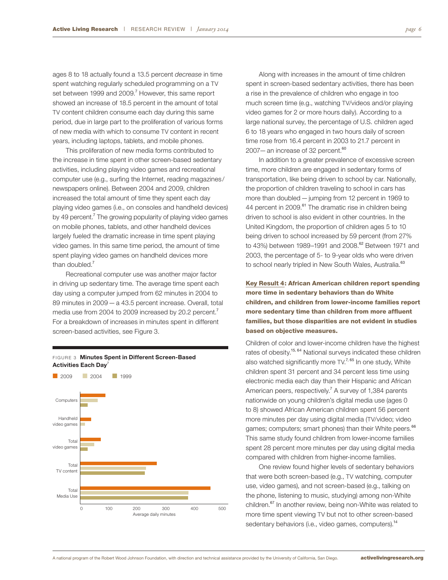ages 8 to 18 actually found a 13.5 percent *decrease* in time spent watching regularly scheduled programming on a TV set between 1999 and 2009.<sup>7</sup> However, this same report showed an increase of 18.5 percent in the amount of total TV content children consume each day during this same period, due in large part to the proliferation of various forms of new media with which to consume TV content in recent years, including laptops, tablets, and mobile phones.

This proliferation of new media forms contributed to the increase in time spent in other screen-based sedentary activities, including playing video games and recreational computer use (e.g., surfing the Internet, reading magazines / newspapers online). Between 2004 and 2009, children increased the total amount of time they spent each day playing video games (i.e., on consoles and handheld devices) by 49 percent.<sup>7</sup> The growing popularity of playing video games on mobile phones, tablets, and other handheld devices largely fueled the dramatic increase in time spent playing video games. In this same time period, the amount of time spent playing video games on handheld devices more than doubled.<sup>7</sup>

Recreational computer use was another major factor in driving up sedentary time. The average time spent each day using a computer jumped from 62 minutes in 2004 to 89 minutes in 2009—a 43.5 percent increase. Overall, total media use from 2004 to 2009 increased by 20.2 percent.<sup>7</sup> For a breakdown of increases in minutes spent in different screen-based activities, see Figure 3.

FIGURE 3 **Minutes Spent in Different Screen-Based** 



Along with increases in the amount of time children spent in screen-based sedentary activities, there has been a rise in the prevalence of children who engage in too much screen time (e.g., watching TV/videos and/or playing video games for 2 or more hours daily). According to a large national survey, the percentage of U.S. children aged 6 to 18 years who engaged in two hours daily of screen time rose from 16.4 percent in 2003 to 21.7 percent in 2007—an increase of 32 percent. $60$ 

In addition to a greater prevalence of excessive screen time, more children are engaged in sedentary forms of transportation, like being driven to school by car. Nationally, the proportion of children traveling to school in cars has more than doubled—jumping from 12 percent in 1969 to 44 percent in 2009.<sup>61</sup> The dramatic rise in children being driven to school is also evident in other countries. In the United Kingdom, the proportion of children ages 5 to 10 being driven to school increased by 59 percent (from 27% to 43%) between 1989–1991 and 2008.<sup>62</sup> Between 1971 and 2003, the percentage of 5- to 9-year olds who were driven to school nearly tripled in New South Wales, Australia.<sup>63</sup>

Key Result 4: African American children report spending more time in sedentary behaviors than do White children, and children from lower-income families report more sedentary time than children from more affluent families, but those disparities are not evident in studies based on objective measures.

Children of color and lower-income children have the highest rates of obesity.<sup>15, 64</sup> National surveys indicated these children also watched significantly more TV.<sup>7, 65</sup> In one study, White children spent 31 percent and 34 percent less time using electronic media each day than their Hispanic and African American peers, respectively.<sup>7</sup> A survey of 1,384 parents nationwide on young children's digital media use (ages 0 to 8) showed African American children spent 56 percent more minutes per day using digital media (TV/video; video games; computers; smart phones) than their White peers.<sup>66</sup> This same study found children from lower-income families spent 28 percent more minutes per day using digital media compared with children from higher-income families.

One review found higher levels of sedentary behaviors that were both screen-based (e.g., TV watching, computer use, video games), and not screen-based (e.g., talking on the phone, listening to music, studying) among non-White children.<sup>67</sup> In another review, being non-White was related to more time spent viewing TV but not to other screen-based sedentary behaviors (i.e., video games, computers).<sup>14</sup>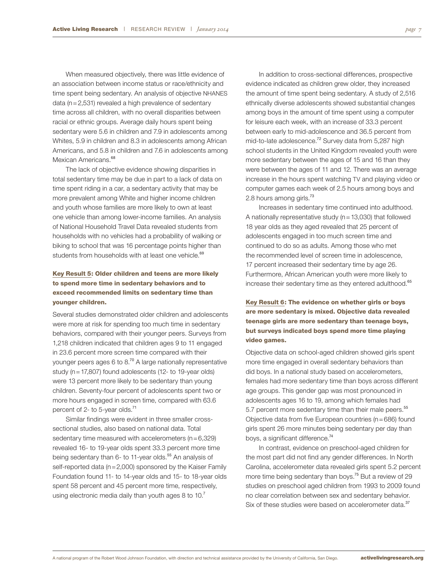When measured objectively, there was little evidence of an association between income status or race/ethnicity and time spent being sedentary. An analysis of objective NHANES data ( $n=2,531$ ) revealed a high prevalence of sedentary time across all children, with no overall disparities between racial or ethnic groups. Average daily hours spent being sedentary were 5.6 in children and 7.9 in adolescents among Whites, 5.9 in children and 8.3 in adolescents among African Americans, and 5.8 in children and 7.6 in adolescents among Mexican Americans.<sup>68</sup>

The lack of objective evidence showing disparities in total sedentary time may be due in part to a lack of data on time spent riding in a car, a sedentary activity that may be more prevalent among White and higher income children and youth whose families are more likely to own at least one vehicle than among lower-income families. An analysis of National Household Travel Data revealed students from households with no vehicles had a probability of walking or biking to school that was 16 percentage points higher than students from households with at least one vehicle.<sup>69</sup>

### Key Result 5: Older children and teens are more likely to spend more time in sedentary behaviors and to exceed recommended limits on sedentary time than younger children.

Several studies demonstrated older children and adolescents were more at risk for spending too much time in sedentary behaviors, compared with their younger peers. Surveys from 1,218 children indicated that children ages 9 to 11 engaged in 23.6 percent more screen time compared with their younger peers ages 6 to 8.<sup>70</sup> A large nationally representative study (n=17,807) found adolescents (12- to 19-year olds) were 13 percent more likely to be sedentary than young children. Seventy-four percent of adolescents spent two or more hours engaged in screen time, compared with 63.6 percent of 2- to 5-year olds.<sup>71</sup>

Similar findings were evident in three smaller crosssectional studies, also based on national data. Total sedentary time measured with accelerometers (n=6,329) revealed 16- to 19-year olds spent 33.3 percent more time being sedentary than 6- to 11-year olds.<sup>55</sup> An analysis of self-reported data (n=2,000) sponsored by the Kaiser Family Foundation found 11- to 14-year olds and 15- to 18-year olds spent 58 percent and 45 percent more time, respectively, using electronic media daily than youth ages 8 to  $10<sup>7</sup>$ 

In addition to cross-sectional differences, prospective evidence indicated as children grew older, they increased the amount of time spent being sedentary. A study of 2,516 ethnically diverse adolescents showed substantial changes among boys in the amount of time spent using a computer for leisure each week, with an increase of 33.3 percent between early to mid-adolescence and 36.5 percent from mid-to-late adolescence.<sup>72</sup> Survey data from 5,287 high school students in the United Kingdom revealed youth were more sedentary between the ages of 15 and 16 than they were between the ages of 11 and 12. There was an average increase in the hours spent watching TV and playing video or computer games each week of 2.5 hours among boys and 2.8 hours among girls.<sup>73</sup>

Increases in sedentary time continued into adulthood. A nationally representative study ( $n=13,030$ ) that followed 18 year olds as they aged revealed that 25 percent of adolescents engaged in too much screen time and continued to do so as adults. Among those who met the recommended level of screen time in adolescence, 17 percent increased their sedentary time by age 26. Furthermore, African American youth were more likely to increase their sedentary time as they entered adulthood.<sup>65</sup>

Key Result 6: The evidence on whether girls or boys are more sedentary is mixed. Objective data revealed teenage girls are more sedentary than teenage boys, but surveys indicated boys spend more time playing video games.

Objective data on school-aged children showed girls spent more time engaged in overall sedentary behaviors than did boys. In a national study based on accelerometers, females had more sedentary time than boys across different age groups. This gender gap was most pronounced in adolescents ages 16 to 19, among which females had 5.7 percent more sedentary time than their male peers.<sup>55</sup> Objective data from five European countries ( $n=686$ ) found girls spent 26 more minutes being sedentary per day than boys, a significant difference.<sup>74</sup>

In contrast, evidence on preschool-aged children for the most part did not find any gender differences. In North Carolina, accelerometer data revealed girls spent 5.2 percent more time being sedentary than boys.<sup>75</sup> But a review of 29 studies on preschool aged children from 1993 to 2009 found no clear correlation between sex and sedentary behavior. Six of these studies were based on accelerometer data.<sup>37</sup>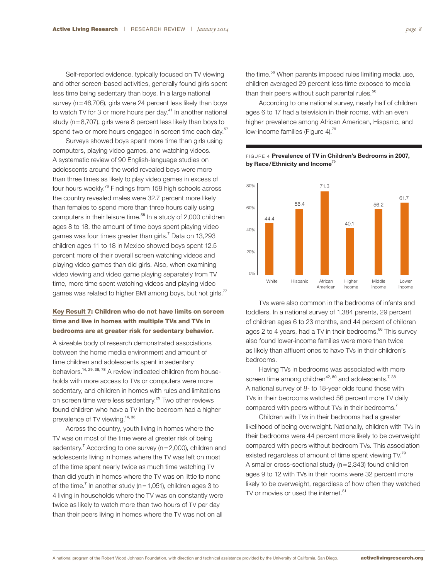Self-reported evidence, typically focused on TV viewing and other screen-based activities, generally found girls spent less time being sedentary than boys. In a large national survey (n=46,706), girls were 24 percent less likely than boys to watch TV for 3 or more hours per day.<sup>41</sup> In another national study ( $n=8,707$ ), girls were 8 percent less likely than boys to spend two or more hours engaged in screen time each day.<sup>57</sup>

Surveys showed boys spent more time than girls using computers, playing video games, and watching videos. A systematic review of 90 English-language studies on adolescents around the world revealed boys were more than three times as likely to play video games in excess of four hours weekly.<sup>76</sup> Findings from 158 high schools across the country revealed males were 32.7 percent more likely than females to spend more than three hours daily using computers in their leisure time.<sup>58</sup> In a study of 2,000 children ages 8 to 18, the amount of time boys spent playing video games was four times greater than girls.<sup>7</sup> Data on 13,293 children ages 11 to 18 in Mexico showed boys spent 12.5 percent more of their overall screen watching videos and playing video games than did girls. Also, when examining video viewing and video game playing separately from TV time, more time spent watching videos and playing video games was related to higher BMI among boys, but not girls.<sup>77</sup>

### Key Result 7: Children who do not have limits on screen time and live in homes with multiple TVs and TVs in bedrooms are at greater risk for sedentary behavior.

A sizeable body of research demonstrated associations between the home media environment and amount of time children and adolescents spent in sedentary behaviors.<sup>14, 29, 38, 78</sup> A review indicated children from households with more access to TVs or computers were more sedentary, and children in homes with rules and limitations on screen time were less sedentary.<sup>29</sup> Two other reviews found children who have a TV in the bedroom had a higher prevalence of TV viewing.<sup>14, 38</sup>

Across the country, youth living in homes where the TV was on most of the time were at greater risk of being sedentary.<sup>7</sup> According to one survey (n=2,000), children and adolescents living in homes where the TV was left on most of the time spent nearly twice as much time watching TV than did youth in homes where the TV was on little to none of the time.<sup>7</sup> In another study ( $n = 1,051$ ), children ages 3 to 4 living in households where the TV was on constantly were twice as likely to watch more than two hours of TV per day than their peers living in homes where the TV was not on all

the time.<sup>56</sup> When parents imposed rules limiting media use, children averaged 29 percent less time exposed to media than their peers without such parental rules.<sup>56</sup>

According to one national survey, nearly half of children ages 6 to 17 had a television in their rooms, with an even higher prevalence among African American, Hispanic, and low-income families (Figure 4).<sup>79</sup>





TVs were also common in the bedrooms of infants and toddlers. In a national survey of 1,384 parents, 29 percent of children ages 6 to 23 months, and 44 percent of children ages 2 to 4 years, had a TV in their bedrooms.<sup>66</sup> This survey also found lower-income families were more than twice as likely than affluent ones to have TVs in their children's bedrooms.

Having TVs in bedrooms was associated with more screen time among children<sup>42, 80</sup> and adolescents.<sup>7, 38</sup> A national survey of 8- to 18-year olds found those with TVs in their bedrooms watched 56 percent more TV daily compared with peers without TVs in their bedrooms.<sup>7</sup>

Children with TVs in their bedrooms had a greater likelihood of being overweight. Nationally, children with TVs in their bedrooms were 44 percent more likely to be overweight compared with peers without bedroom TVs. This association existed regardless of amount of time spent viewing TV.<sup>79</sup> A smaller cross-sectional study (n=2,343) found children ages 9 to 12 with TVs in their rooms were 32 percent more likely to be overweight, regardless of how often they watched TV or movies or used the internet.<sup>81</sup>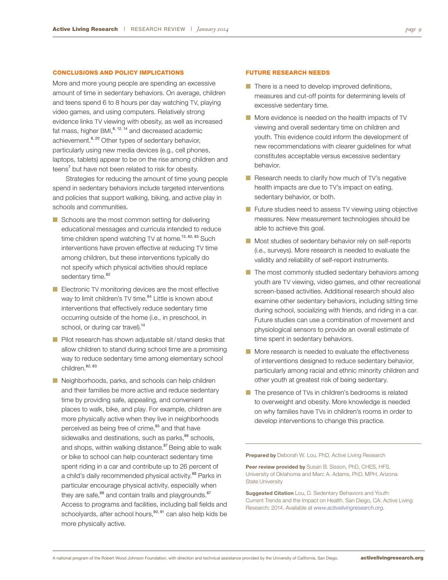#### CONCLUSIONS AND POLICY IMPLICATIONS

More and more young people are spending an excessive amount of time in sedentary behaviors. On average, children and teens spend 6 to 8 hours per day watching TV, playing video games, and using computers. Relatively strong evidence links TV viewing with obesity, as well as increased fat mass, higher BMI,<sup>8, 12, 14</sup> and decreased academic achievement.<sup>8, 20</sup> Other types of sedentary behavior, particularly using new media devices (e.g., cell phones, laptops, tablets) appear to be on the rise among children and teens<sup>7</sup> but have not been related to risk for obesity.

Strategies for reducing the amount of time young people spend in sedentary behaviors include targeted interventions and policies that support walking, biking, and active play in schools and communities.

- $\blacksquare$  Schools are the most common setting for delivering educational messages and curricula intended to reduce time children spend watching TV at home.<sup>13, 82, 83</sup> Such interventions have proven effective at reducing TV time among children, but these interventions typically do not specify which physical activities should replace sedentary time.<sup>82</sup>
- $\blacksquare$  Electronic TV monitoring devices are the most effective way to limit children's TV time.<sup>84</sup> Little is known about interventions that effectively reduce sedentary time occurring outside of the home (i.e., in preschool, in school, or during car travel).<sup>14</sup>
- $\blacksquare$  Pilot research has shown adjustable sit/stand desks that allow children to stand during school time are a promising way to reduce sedentary time among elementary school children. 82, 83
- $\blacksquare$  Neighborhoods, parks, and schools can help children and their families be more active and reduce sedentary time by providing safe, appealing, and convenient places to walk, bike, and play. For example, children are more physically active when they live in neighborhoods perceived as being free of crime,<sup>85</sup> and that have sidewalks and destinations, such as parks, $86$  schools, and shops, within walking distance.<sup>87</sup> Being able to walk or bike to school can help counteract sedentary time spent riding in a car and contribute up to 26 percent of a child's daily recommended physical activity.<sup>88</sup> Parks in particular encourage physical activity, especially when they are safe,<sup>88</sup> and contain trails and playgrounds.<sup>87</sup> Access to programs and facilities, including ball fields and schoolyards, after school hours,<sup>90, 91</sup> can also help kids be more physically active.

#### FUTURE RESEARCH NEEDS

- $\blacksquare$  There is a need to develop improved definitions, measures and cut-off points for determining levels of excessive sedentary time.
- $\blacksquare$  More evidence is needed on the health impacts of TV viewing and overall sedentary time on children and youth. This evidence could inform the development of new recommendations with clearer guidelines for what constitutes acceptable versus excessive sedentary behavior.
- $\blacksquare$  Research needs to clarify how much of TV's negative health impacts are due to TV's impact on eating, sedentary behavior, or both.
- **n** Future studies need to assess TV viewing using objective measures. New measurement technologies should be able to achieve this goal.
- **n** Most studies of sedentary behavior rely on self-reports (i.e., surveys). More research is needed to evaluate the validity and reliability of self-report instruments.
- $\blacksquare$  The most commonly studied sedentary behaviors among youth are TV viewing, video games, and other recreational screen-based activities. Additional research should also examine other sedentary behaviors, including sitting time during school, socializing with friends, and riding in a car. Future studies can use a combination of movement and physiological sensors to provide an overall estimate of time spent in sedentary behaviors.
- $\blacksquare$  More research is needed to evaluate the effectiveness of interventions designed to reduce sedentary behavior, particularly among racial and ethnic minority children and other youth at greatest risk of being sedentary.
- $\blacksquare$  The presence of TVs in children's bedrooms is related to overweight and obesity. More knowledge is needed on why families have TVs in children's rooms in order to develop interventions to change this practice.

**Prepared by** Deborah W. Lou, PhD, Active Living Research

**Peer review provided by** Susan B. Sisson, PhD, CHES, HFS, University of Oklahoma and Marc A. Adams, PhD, MPH, Arizona State University

**Suggested Citation** Lou, D. Sedentary Behaviors and Youth: Current Trends and the Impact on Health. San Diego, CA: Active Living Research; 2014. Available at *www.activelivingresearch.org*.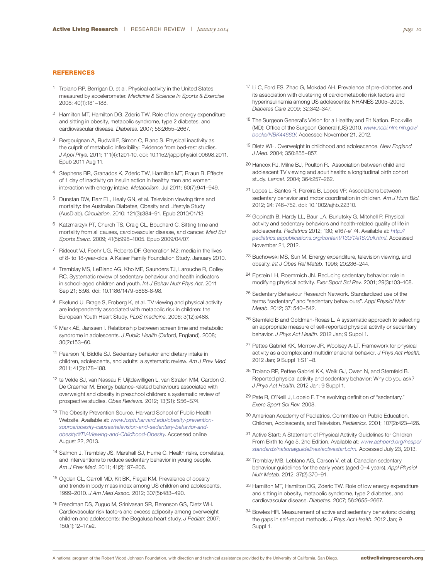#### **REFERENCES**

- 1 Troiano RP, Berrigan D, et al. Physical activity in the United States measured by accelerometer. *Medicine & Science In Sports & Exercise* 2008; 40(1):181–188.
- 2 Hamilton MT, Hamilton DG, Zderic TW. Role of low energy expenditure and sitting in obesity, metabolic syndrome, type 2 diabetes, and cardiovascular disease. *Diabetes.* 2007; 56:2655–2667.
- 3 Bergouignan A, Rudwill F, Simon C, Blanc S. Physical inactivity as the culprit of metabolic inflexibility: Evidence from bed-rest studies. *[J](http://www.ncbi.nlm.nih.gov/pubmed/21836047%22 %5Co %22Journal of applied physiology (Bethesda, Md. : 1985).) Appl Phys.* 2011; 111(4):1201-10. doi: 10.1152/japplphysiol.00698.2011. Epub 2011 Aug 11.
- 4 Stephens BR, Granados K, Zderic TW, Hamilton MT, Braun B. Effects of 1 day of inactivity on insulin action in healthy men and women: interaction with energy intake. *Metabolism.* Jul 2011; 60(7):941–949.
- 5 Dunstan DW, Barr EL, Healy GN, et al. Television viewing time and mortality: the Australian Diabetes, Obesity and Lifestyle Study (AusDiab). *Circulation*. 2010; 121(3):384–91. Epub 2010/01/13.
- 6 Katzmarzyk PT, Church TS, Craig CL, Bouchard C. Sitting time and mortality from all causes, cardiovascular disease, and cancer. *Med Sci Sports Exerc.* 2009; 41(5):998–1005. Epub 2009/04/07.
- 7 Rideout VJ, Foehr UG, Roberts DF. Generation M2: media in the lives of 8- to 18-year-olds. A Kaiser Family Foundation Study. January 2010.
- 8 Tremblay MS, LeBlanc AG, Kho ME, Saunders TJ, Larouche R, Colley RC. Systematic review of sedentary behaviour and health indicators in school-aged children and youth. *Int J Behav Nutr Phys Act*. 2011 Sep 21; 8:98. doi: 10.1186/1479-5868-8-98.
- 9 Ekelund U, Brage S, Froberg K, et al. TV viewing and physical activity are independently associated with metabolic risk in children: the European Youth Heart Study. *PLoS medicine*. 2006; 3(12):e488.
- 10 Mark AE, Janssen I. Relationship between screen time and metabolic syndrome in adolescents. *J Public Health* (Oxford, England). 2008; 30(2):153–60.
- 11 Pearson N, Biddle SJ. Sedentary behavior and dietary intake in children, adolescents, and adults: a systematic review. *Am J Prev Med*. 2011; 41(2):178–188.
- 12 te Velde SJ, van Nassau F, Uijtdewilligen L, van Stralen MM, Cardon G, De Craemer M. Energy balance-related behaviours associated with overweight and obesity in preschool children: a systematic review of prospective studies. *Obes Reviews.* 2012; 13(S1): S56–S74.
- 13 The Obesity Prevention Source. Harvard School of Public Health Website. Available at: *[www.hsph.harvard.edu/obesity-prevention](http://www.hsph.harvard.edu/obesity-prevention-source/obesity-causes/television-and-sedentary-behavior-and-obesity/%22 %5Cl %22TV-Viewing-and-Childhood-Obesity)[source/obesity-causes/television-and-sedentary-behavior-and](http://www.hsph.harvard.edu/obesity-prevention-source/obesity-causes/television-and-sedentary-behavior-and-obesity/%22 %5Cl %22TV-Viewing-and-Childhood-Obesity)[obesity/#TV-Viewing-and-Childhood-Obesity](http://www.hsph.harvard.edu/obesity-prevention-source/obesity-causes/television-and-sedentary-behavior-and-obesity/%22 %5Cl %22TV-Viewing-and-Childhood-Obesity)*. Accessed online August 22, 2013.
- 14 Salmon J, Tremblay JS, Marshall SJ, Hume C. Health risks, correlates, and interventions to reduce sedentary behavior in young people. *Am J Prev Med.* 2011; 41(2):197–206.
- 15 Ogden CL, Carroll MD, Kit BK, Flegal KM. Prevalence of obesity and trends in body mass index among US children and adolescents, 1999–2010. *J Am Med Assoc.* 2012; 307(5):483–490.
- 16 Freedman DS, Zuguo M, Srinivasan SR, Berenson GS, Dietz WH. Cardiovascular risk factors and excess adiposity among overweight children and adolescents: the Bogalusa heart study. *[J Pediatr](http://www.ncbi.nlm.nih.gov/pubmed/17188605%22 %5Co %22The Journal of pediatrics.)*. 2007; 150(1):12–17.e2.
- 17 Li C, Ford ES, Zhao G, Mokdad AH. Prevalence of pre-diabetes and its association with clustering of cardiometabolic risk factors and hyperinsulinemia among US adolescents: NHANES 2005–2006. *Diabetes Care* 2009; 32:342–347.
- 18 The Surgeon General's Vision for a Healthy and Fit Nation. Rockville (MD): Office of the Surgeon General (US) 2010. *[www.ncbi.nlm.nih.gov/](http://www.ncbi.nlm.nih.gov/books/NBK44660/) [books/NBK44660/](http://www.ncbi.nlm.nih.gov/books/NBK44660/)*. Accessed November 21, 2012.
- 19 Dietz WH. Overweight in childhood and adolescence. *New England J Med*. 2004; 350:855–857.
- 20 Hancox RJ, Milne BJ, Poulton R. Association between child and adolescent TV viewing and adult health: a longitudinal birth cohort study. *Lancet*. 2004; 364:257–262.
- 21 Lopes L, Santos R, Pereira B, Lopes VP. Associations between sedentary behavior and motor coordination in children. *Am J Hum Biol.* 2012; 24: 746–752. doi: 10.1002/ajhb.22310.
- 22 Gopinath B, Hardy LL, Baur LA, Burlutsky G, Mitchell P. Physical activity and sedentary behaviors and health-related quality of life in adolescents. *Pediatrics* 2012; 130; e167-e174. Available at: *[http://](http://pediatrics.aapublications.org/content/130/1/e167.full.html) [pediatrics.aapublications.org/content/130/1/e167.full.html](http://pediatrics.aapublications.org/content/130/1/e167.full.html)*. Accessed November 21, 2012.
- 23 Buchowski MS, Sun M. Energy expenditure, television viewing, and obesity. *Int J Obes Rel Metab.* 1996; 20:236–244.
- 24 Epstein LH, Roemmich JN. Reducing sedentary behavior: role in modifying physical activity. *Exer Sport Sci Rev.* 2001; 29(3):103–108.
- 25 Sedentary Behaviour Research Network. Standardized use of the terms "sedentary" and "sedentary behaviours". *Appl Physiol Nutr Metab.* 2012; 37: 540–542.
- 26 Sternfeld B and Goldman-Rosas L. A systematic approach to selecting an appropriate measure of self-reported physical activity or sedentary behavior. *J Phys Act Health.* 2012 Jan; 9 Suppl 1.
- 27 Pettee Gabriel KK, Morrow JR, Woolsey A-LT. Framework for physical activity as a complex and multidimensional behavior. *J Phys Act Health.* 2012 Jan; 9 Suppl 1:S11–8.
- 28 Troiano RP, Pettee Gabriel KK, Welk GJ, Owen N, and Sternfeld B. Reported physical activity and sedentary behavior: Why do you ask? *J Phys Act Health.* 2012 Jan; 9 Suppl 1.
- 29 Pate R, O'Neill J, Lobelo F. The evolving definition of "sedentary." *Exerc Sport Sci Rev*. 2008.
- 30 American Academy of Pediatrics. Committee on Public Education. Children, Adolescents, and Television. *Pediatrics.* 2001; 107(2):423–426.
- 31 Active Start: A Statement of Physical Activity Guidelines for Children From Birth to Age 5, 2nd Edition. Available at: *[www.aahperd.org/naspe/](http://www.aahperd.org/naspe/stan) [standards/nationalguidelines/activestart.cfm](http://www.aahperd.org/naspe/stan)*. Accessed July 23, 2013.
- 32 Tremblay MS, Leblanc AG, Carson V, et al. Canadian sedentary behaviour guidelines for the early years (aged 0–4 years). *Appl Physiol Nutr Metab*. 2012; 37(2):370–91.
- 33 Hamilton MT, Hamilton DG, Zderic TW. Role of low energy expenditure and sitting in obesity, metabolic syndrome, type 2 diabetes, and cardiovascular disease. *Diabetes.* 2007; 56:2655–2667.
- 34 Bowles HR. Measurement of active and sedentary behaviors: closing the gaps in self-report methods. *J Phys Act Health.* 2012 Jan; 9 Suppl 1.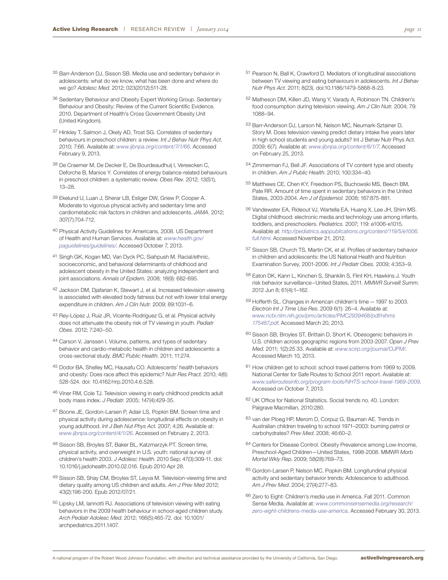- 35 Barr-Anderson DJ, Sisson SB. Media use and sedentary behavior in adolescents: what do we know, what has been done and where do we go? *Adolesc Med*. 2012; 023(2012):511-28.
- 36 Sedentary Behaviour and Obesity Expert Working Group. Sedentary Behaviour and Obesity: Review of the Current Scientific Evidence. 2010. Department of Health's Cross Government Obesity Unit (United Kingdom).
- 37 Hinkley T, Salmon J, Okely AD, Trost SG. Correlates of sedentary behaviours in preschool children: a review. *Int J Behav Nutr Phys Act*. 2010; 7:66. Available at: *www.ijbnpa.org/content/7/1/66*. Accessed February 9, 2013.
- 38 De Craemer M, De Decker E, De Bourdeaudhuij I, Vereecken C, Deforche B, Manios Y. Correlates of energy balance-related behaviours in preschool children: a systematic review. *Obes Rev.* 2012; 13(S1), 13–28.
- 39 Ekelund U, Luan J, Sherar LB, Esliger DW, Griew P, Cooper A. Moderate to vigorous physical activity and sedentary time and cardiometabolic risk factors in children and adolescents. *JAMA.* 2012; 307(7):704-712.
- 40 Physical Activity Guidelines for Americans, 2008. US Department of Health and Human Services. Available at: *[www.health.gov/](http://www.health.gov/paguidelines/guidelines/) [paguidelines/guidelines/](http://www.health.gov/paguidelines/guidelines/)*. Accessed October 7, 2013.
- 41 Singh GK, Kogan MD, Van Dyck PC, Siahpush M. Racial/ethnic, socioeconomic, and behavioral determinants of childhood and adolescent obesity in the United States: analyzing independent and joint associations. *Annals of Epidem.* 2008; 18(9): 682-695.
- 42 Jackson DM, Djafarian K, Stewart J, et al. Increased television viewing is associated with elevated body fatness but not with lower total energy expenditure in children. *Am J Clin Nutr.* 2009; 89:1031–6.
- 43 Rey-López J, Ruiz JR, Vicente-Rodríguez G, et al. Physical activity does not attenuate the obesity risk of TV viewing in youth. *Pediatr Obes.* 2012; 7:240–50.
- 44 Carson V, Janssen I. Volume, patterns, and types of sedentary behavior and cardio-metabolic health in children and adolescents: a cross-sectional study. *BMC Public Health.* 2011; 11:274.
- 45 Dodor BA, Shelley MC, Hausafu CO. Adolescents' health behaviors and obesity: Does race affect this epidemic? *Nutr Res Pract.* 2010; 4(6): 528-524. doi: 10.4162/nrp.2010.4.6.528.
- 46 Viner RM, Cole TJ. Television viewing in early childhood predicts adult body mass index. *J Pediatr.* 2005; 147(4):429-35.
- 47 Boone JE, Gordon-Larsen P, Adair LS, Popkin BM. Screen time and physical activity during adolescence: longitudinal effects on obesity in young adulthood. *Int J Beh Nut Phys Act*. 2007; 4:26. Available at: *www.ijbnpa.org/content/4/1/26*. Accessed on February 2, 2013.
- 48 Sisson SB, Broyles ST, Baker BL, Katzmarzyk PT. Screen time, physical activity, and overweight in U.S. youth: national survey of children's health 2003. *J Adolesc Health*. 2010 Sep; 47(3):309-11. doi: 10.1016/j.jadohealth.2010.02.016. Epub 2010 Apr 28.
- 49 Sisson SB, Shay CM, Broyles ST, Leyva M. Television-viewing time and dietary quality among US children and adults. *Am J Prev Med* 2012; 43(2):196-200. Epub 2012/07/21.
- 50 Lipsky LM, Iannotti RJ. Associations of television viewing with eating behaviors in the 2009 health behaviour in school-aged children study. *Arch Pediatr Adolesc Med*. 2012; 166(5):465-72. doi: 10.1001/ archpediatrics.2011.1407.
- 51 Pearson N, Ball K, Crawford D. Mediators of longitudinal associations between TV viewing and eating behaviours in adolescents. *Int J Behav Nutr Phys Act.* 2011; 8(23). doi:10.1186/1479-5868-8-23.
- 52 Matheson DM, Killen JD, Wang Y, Varady A, Robinson TN. Children's food consumption during television viewing. *Am J Clin Nutr.* 2004; 79: 1088–94.
- 53 Barr-Anderson DJ, Larson NI, Nelson MC, Neumark-Sztainer D, Story M. Does television viewing predict dietary intake five years later in high school students and young adults? Int J Behav Nutr Phys Act. 2009; 6(7). Available at: *[www.ijbnpa.org/content/6/1/7](http://www.ijbnpa.org/content/6/1/7)*. Accessed on February 25, 2013.
- 54 Zimmerman FJ, Bell JF. Associations of TV content type and obesity in children. *[Am J Public Health](http://www.ncbi.nlm.nih.gov/pubmed/20019313%22 %5Co %22Associations of television content type and obesity in children)*. 2010; 100:334–40.
- 55 Matthews CE, Chen KY, Freedson PS, Buchowski MS, Beech BM, Pate RR. Amount of time spent in sedentary behaviors in the United States, 2003-2004. *Am J of Epidemiol.* 2008; 167:875-881.
- 56 Vandewater EA, Rideout VJ, Wartella EA, Huang X, Lee JH, Shim MS. Digital childhood: electronic media and technology use among infants, toddlers, and preschoolers. *Pediatrics.* 2007; 119: e1006-e1015. Available at: *http://pediatrics.aappublications.org/content/119/5/e1006. full.html*. Accessed November 21, 2012.
- 57 Sisson SB, Church TS, Martin CK, et al. Profiles of sedentary behavior in children and adolescents: the US National Health and Nutrition Examination Survey, 2001-2006. *Int J Pediatr Obes.* 2009; 4:353–9.
- 58 Eaton DK, Kann L, Kinchen S, Shanklin S, Flint KH, Hawkins J. Youth risk behavior surveillance–United States, 2011. *[MMWR Surveill Summ.](http://www.ncbi.nlm.nih.gov/pubmed/22673000%22 %5Co %22Morbidity and mortality weekly report. Surveillance summaries (Washington, D.C. : 2002).)* 2012 Jun 8; 61(4):1–162.
- 59 Hofferth SL. Changes in American children's time—1997 to 2003. *Electron Int J Time Use Res*. 2009 6(1): 26–4. Available at: *[www.ncbi.nlm.nih.gov/pmc/articles/PMC2939468/pdf/nihms](ih.gov/pmc/articles/PMC2939468/pdf/nihms175487.pdf) [175487.pdf](ih.gov/pmc/articles/PMC2939468/pdf/nihms175487.pdf)*. Accessed March 20, 2013.
- 60 Sisson SB, Broyles ST, Brittain D, Short K. Obesogenic behaviors in U.S. children across geographic regions from 2003-2007. *Open J Prev Med*. 2011; 1(2):25 33. Available at: *[www.scirp.org/journal/OJPM/](http://www.scirp.org/j)*. Accessed March 10, 2013.
- 61 How children get to school: school travel patterns from 1969 to 2009. National Center for Safe Routes to School 2011 report. Available at: *[www.saferoutesinfo.org/program-tools/NHTS-school-travel-1969-2009](http://www.saferoutesinfo.org/program-tools/NHTS-school-travel-1969-2009)*. Accessed on October 7, 2013.
- 62 UK Office for National Statistics. Social trends no. 40. London: Palgrave Macmillan, 2010:280.
- 63 van der Ploeg HP, Merom D, Corpuz G, Bauman AE. Trends in Australian children traveling to school 1971–2003: burning petrol or carbohydrates? *Prev Med*. 2008; 46:60–2.
- 64 Centers for Disease Control. Obesity Prevalence among Low-Income, Preschool-Aged Children—United States, 1998-2008. MMWR *Morb Mortal Wkly Rep*. 2009; 58(28):769–73.
- 65 Gordon-Larsen P, Nelson MC, Popkin BM. Longitundinal physical activity and sedentary behavior trends: Adolescence to adulthood. *Am J Prev Med*. 2004; 27(4):277–83.
- 66 Zero to Eight: Children's media use in America. Fall 2011. Common Sense Media. Available at: *www.commonsensemedia.org/research/ zero-eight-childrens-media-use-america*. Accessed February 30, 2013.